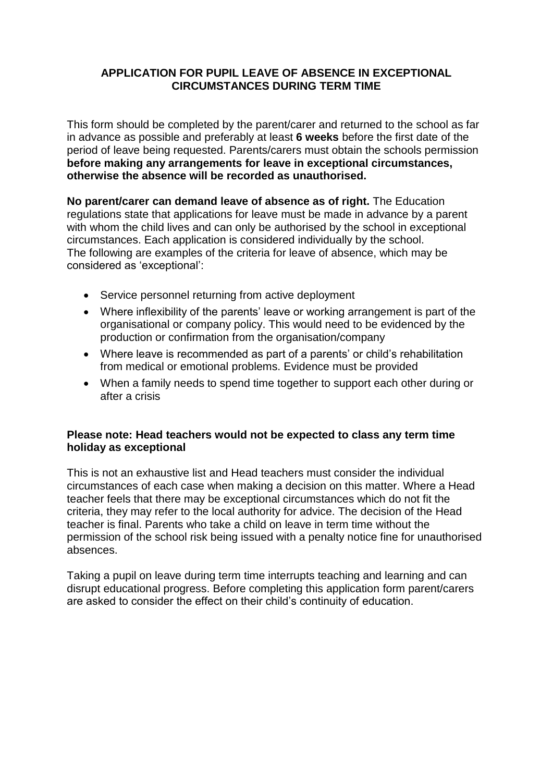## **APPLICATION FOR PUPIL LEAVE OF ABSENCE IN EXCEPTIONAL CIRCUMSTANCES DURING TERM TIME**

This form should be completed by the parent/carer and returned to the school as far in advance as possible and preferably at least **6 weeks** before the first date of the period of leave being requested. Parents/carers must obtain the schools permission **before making any arrangements for leave in exceptional circumstances, otherwise the absence will be recorded as unauthorised.** 

**No parent/carer can demand leave of absence as of right.** The Education regulations state that applications for leave must be made in advance by a parent with whom the child lives and can only be authorised by the school in exceptional circumstances. Each application is considered individually by the school. The following are examples of the criteria for leave of absence, which may be considered as 'exceptional':

- Service personnel returning from active deployment
- Where inflexibility of the parents' leave or working arrangement is part of the organisational or company policy. This would need to be evidenced by the production or confirmation from the organisation/company
- Where leave is recommended as part of a parents' or child's rehabilitation from medical or emotional problems. Evidence must be provided
- When a family needs to spend time together to support each other during or after a crisis

## **Please note: Head teachers would not be expected to class any term time holiday as exceptional**

This is not an exhaustive list and Head teachers must consider the individual circumstances of each case when making a decision on this matter. Where a Head teacher feels that there may be exceptional circumstances which do not fit the criteria, they may refer to the local authority for advice. The decision of the Head teacher is final. Parents who take a child on leave in term time without the permission of the school risk being issued with a penalty notice fine for unauthorised absences.

Taking a pupil on leave during term time interrupts teaching and learning and can disrupt educational progress. Before completing this application form parent/carers are asked to consider the effect on their child's continuity of education.